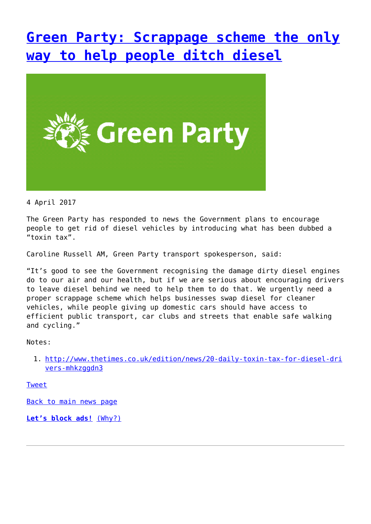## **[Green Party: Scrappage scheme the only](http://www.government-world.com/green-party-scrappage-scheme-the-only-way-to-help-people-ditch-diesel/) [way to help people ditch diesel](http://www.government-world.com/green-party-scrappage-scheme-the-only-way-to-help-people-ditch-diesel/)**



4 April 2017

The Green Party has responded to news the Government plans to encourage people to get rid of diesel vehicles by introducing what has been dubbed a "toxin tax".

Caroline Russell AM, Green Party transport spokesperson, said:

"It's good to see the Government recognising the damage dirty diesel engines do to our air and our health, but if we are serious about encouraging drivers to leave diesel behind we need to help them to do that. We urgently need a proper scrappage scheme which helps businesses swap diesel for cleaner vehicles, while people giving up domestic cars should have access to efficient public transport, car clubs and streets that enable safe walking and cycling."

Notes:

1. [http://www.thetimes.co.uk/edition/news/20-daily-toxin-tax-for-diesel-dri](http://www.thetimes.co.uk/edition/news/20-daily-toxin-tax-for-diesel-drivers-mhkzggdn3) [vers-mhkzggdn3](http://www.thetimes.co.uk/edition/news/20-daily-toxin-tax-for-diesel-drivers-mhkzggdn3)

[Tweet](https://twitter.com/share)

[Back to main news page](https://www.greenparty.org.uk/news/)

**[Let's block ads!](https://blockads.fivefilters.org/)** [\(Why?\)](https://blockads.fivefilters.org/acceptable.html)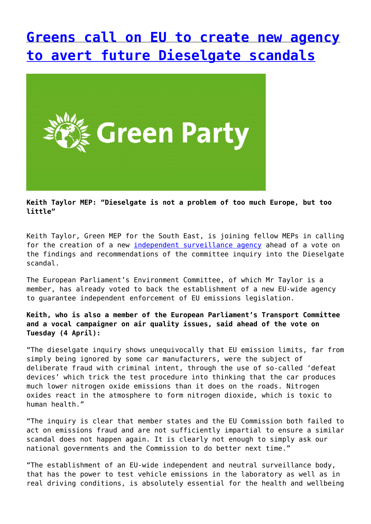### **[Greens call on EU to create new agency](http://www.government-world.com/greens-call-on-eu-to-create-new-agency-to-avert-future-dieselgate-scandals/) [to avert future Dieselgate scandals](http://www.government-world.com/greens-call-on-eu-to-create-new-agency-to-avert-future-dieselgate-scandals/)**



**Keith Taylor MEP: "Dieselgate is not a problem of too much Europe, but too little"**

Keith Taylor, Green MEP for the South East, is joining fellow MEPs in calling for the creation of a new [independent surveillance agency](https://www.greens-efa.eu/en/article/news/europe-needs-independent-oversight-to-stop-another-dieselgate/) ahead of a vote on the findings and recommendations of the committee inquiry into the Dieselgate scandal.

The European Parliament's Environment Committee, of which Mr Taylor is a member, has already voted to back the establishment of a new EU-wide agency to guarantee independent enforcement of EU emissions legislation.

#### **Keith, who is also a member of the European Parliament's Transport Committee and a vocal campaigner on air quality issues, said ahead of the vote on Tuesday (4 April):**

"The dieselgate inquiry shows unequivocally that EU emission limits, far from simply being ignored by some car manufacturers, were the subject of deliberate fraud with criminal intent, through the use of so-called 'defeat devices' which trick the test procedure into thinking that the car produces much lower nitrogen oxide emissions than it does on the roads. Nitrogen oxides react in the atmosphere to form nitrogen dioxide, which is toxic to human health."

"The inquiry is clear that member states and the EU Commission both failed to act on emissions fraud and are not sufficiently impartial to ensure a similar scandal does not happen again. It is clearly not enough to simply ask our national governments and the Commission to do better next time."

"The establishment of an EU-wide independent and neutral surveillance body, that has the power to test vehicle emissions in the laboratory as well as in real driving conditions, is absolutely essential for the health and wellbeing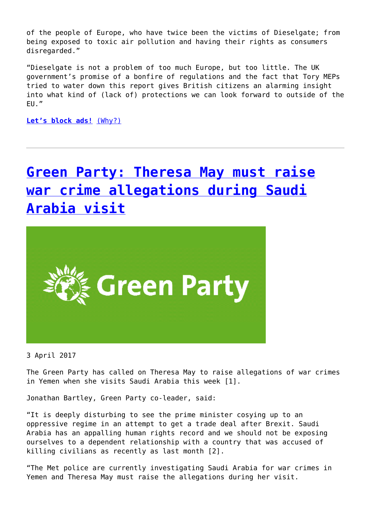of the people of Europe, who have twice been the victims of Dieselgate; from being exposed to toxic air pollution and having their rights as consumers disregarded."

"Dieselgate is not a problem of too much Europe, but too little. The UK government's promise of a bonfire of regulations and the fact that Tory MEPs tried to water down this report gives British citizens an alarming insight into what kind of (lack of) protections we can look forward to outside of the EU."

**[Let's block ads!](https://blockads.fivefilters.org/)** [\(Why?\)](https://blockads.fivefilters.org/acceptable.html)

# **[Green Party: Theresa May must raise](http://www.government-world.com/green-party-theresa-may-must-raise-war-crime-allegations-during-saudi-arabia-visit/) [war crime allegations during Saudi](http://www.government-world.com/green-party-theresa-may-must-raise-war-crime-allegations-during-saudi-arabia-visit/) [Arabia visit](http://www.government-world.com/green-party-theresa-may-must-raise-war-crime-allegations-during-saudi-arabia-visit/)**



3 April 2017

The Green Party has called on Theresa May to raise allegations of war crimes in Yemen when she visits Saudi Arabia this week [1].

Jonathan Bartley, Green Party co-leader, said:

"It is deeply disturbing to see the prime minister cosying up to an oppressive regime in an attempt to get a trade deal after Brexit. Saudi Arabia has an appalling human rights record and we should not be exposing ourselves to a dependent relationship with a country that was accused of killing civilians as recently as last month [2].

"The Met police are currently investigating Saudi Arabia for war crimes in Yemen and Theresa May must raise the allegations during her visit.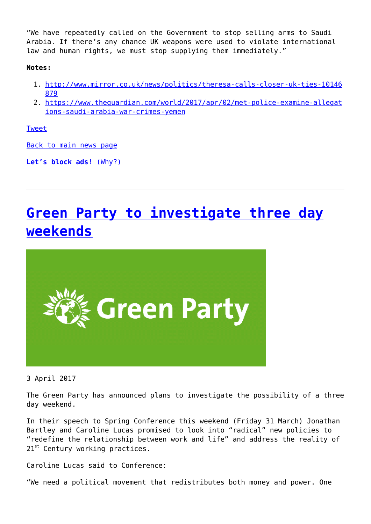"We have repeatedly called on the Government to stop selling arms to Saudi Arabia. If there's any chance UK weapons were used to violate international law and human rights, we must stop supplying them immediately."

#### **Notes:**

- 1. [http://www.mirror.co.uk/news/politics/theresa-calls-closer-uk-ties-10146](http://www.mirror.co.uk/news/politics/theresa-calls-closer-uk-ties-10146879) [879](http://www.mirror.co.uk/news/politics/theresa-calls-closer-uk-ties-10146879)
- 2. [https://www.theguardian.com/world/2017/apr/02/met-police-examine-allegat](https://www.theguardian.com/world/2017/apr/02/met-police-examine-allegations-saudi-arabia-war-crimes-yemen) [ions-saudi-arabia-war-crimes-yemen](https://www.theguardian.com/world/2017/apr/02/met-police-examine-allegations-saudi-arabia-war-crimes-yemen)

[Tweet](https://twitter.com/share)

[Back to main news page](https://www.greenparty.org.uk/news/)

**[Let's block ads!](https://blockads.fivefilters.org/)** [\(Why?\)](https://blockads.fivefilters.org/acceptable.html)

# **[Green Party to investigate three day](http://www.government-world.com/green-party-to-investigate-three-day-weekends/) [weekends](http://www.government-world.com/green-party-to-investigate-three-day-weekends/)**



3 April 2017

The Green Party has announced plans to investigate the possibility of a three day weekend.

In their speech to Spring Conference this weekend (Friday 31 March) Jonathan Bartley and Caroline Lucas promised to look into "radical" new policies to "redefine the relationship between work and life" and address the reality of  $21^{st}$  Century working practices.

Caroline Lucas said to Conference:

"We need a political movement that redistributes both money and power. One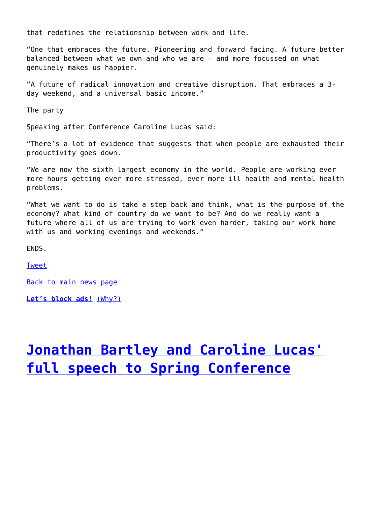that redefines the relationship between work and life.

"One that embraces the future. Pioneering and forward facing. A future better balanced between what we own and who we are – and more focussed on what genuinely makes us happier.

"A future of radical innovation and creative disruption. That embraces a 3 day weekend, and a universal basic income."

The party

Speaking after Conference Caroline Lucas said:

"There's a lot of evidence that suggests that when people are exhausted their productivity goes down.

"We are now the sixth largest economy in the world. People are working ever more hours getting ever more stressed, ever more ill health and mental health problems.

"What we want to do is take a step back and think, what is the purpose of the economy? What kind of country do we want to be? And do we really want a future where all of us are trying to work even harder, taking our work home with us and working evenings and weekends."

ENDS.

[Tweet](https://twitter.com/share)

[Back to main news page](https://www.greenparty.org.uk/news/)

**[Let's block ads!](https://blockads.fivefilters.org/)** [\(Why?\)](https://blockads.fivefilters.org/acceptable.html)

## **[Jonathan Bartley and Caroline Lucas'](http://www.government-world.com/jonathan-bartley-and-caroline-lucas-full-speech-to-spring-conference/) [full speech to Spring Conference](http://www.government-world.com/jonathan-bartley-and-caroline-lucas-full-speech-to-spring-conference/)**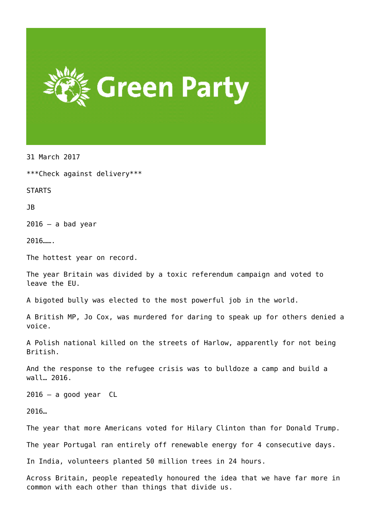

31 March 2017

\*\*\*Check against delivery\*\*\*

STARTS

JB

 $2016 - a$  bad year

2016…….

The hottest year on record.

The year Britain was divided by a toxic referendum campaign and voted to leave the EU.

A bigoted bully was elected to the most powerful job in the world.

A British MP, Jo Cox, was murdered for daring to speak up for others denied a voice.

A Polish national killed on the streets of Harlow, apparently for not being British.

And the response to the refugee crisis was to bulldoze a camp and build a wall… 2016.

 $2016 - a$  good year CL

2016…

The year that more Americans voted for Hilary Clinton than for Donald Trump.

The year Portugal ran entirely off renewable energy for 4 consecutive days.

In India, volunteers planted 50 million trees in 24 hours.

Across Britain, people repeatedly honoured the idea that we have far more in common with each other than things that divide us.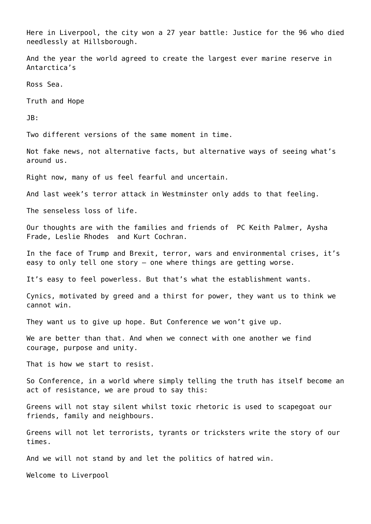Here in Liverpool, the city won a 27 year battle: Justice for the 96 who died needlessly at Hillsborough.

And the year the world agreed to create the largest ever marine reserve in Antarctica's

Ross Sea.

Truth and Hope

JB:

Two different versions of the same moment in time.

Not fake news, not alternative facts, but alternative ways of seeing what's around us.

Right now, many of us feel fearful and uncertain.

And last week's terror attack in Westminster only adds to that feeling.

The senseless loss of life.

Our thoughts are with the families and friends of PC Keith Palmer, Aysha Frade, Leslie Rhodes and Kurt Cochran.

In the face of Trump and Brexit, terror, wars and environmental crises, it's easy to only tell one story – one where things are getting worse.

It's easy to feel powerless. But that's what the establishment wants.

Cynics, motivated by greed and a thirst for power, they want us to think we cannot win.

They want us to give up hope. But Conference we won't give up.

We are better than that. And when we connect with one another we find courage, purpose and unity.

That is how we start to resist.

So Conference, in a world where simply telling the truth has itself become an act of resistance, we are proud to say this:

Greens will not stay silent whilst toxic rhetoric is used to scapegoat our friends, family and neighbours.

Greens will not let terrorists, tyrants or tricksters write the story of our times.

And we will not stand by and let the politics of hatred win.

Welcome to Liverpool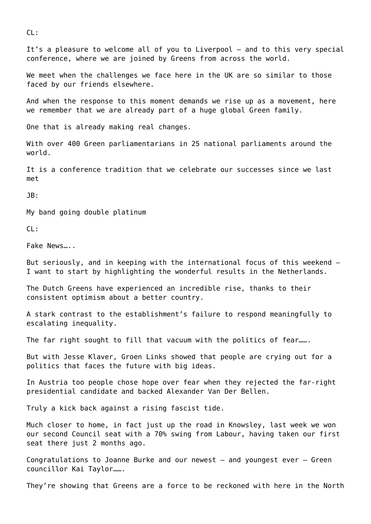CL:

It's a pleasure to welcome all of you to Liverpool – and to this very special conference, where we are joined by Greens from across the world.

We meet when the challenges we face here in the UK are so similar to those faced by our friends elsewhere.

And when the response to this moment demands we rise up as a movement, here we remember that we are already part of a huge global Green family.

One that is already making real changes.

With over 400 Green parliamentarians in 25 national parliaments around the world.

It is a conference tradition that we celebrate our successes since we last met

JB:

My band going double platinum

CL:

Fake News…..

But seriously, and in keeping with the international focus of this weekend – I want to start by highlighting the wonderful results in the Netherlands.

The Dutch Greens have experienced an incredible rise, thanks to their consistent optimism about a better country.

A stark contrast to the establishment's failure to respond meaningfully to escalating inequality.

The far right sought to fill that vacuum with the politics of fear.......

But with Jesse Klaver, Groen Links showed that people are crying out for a politics that faces the future with big ideas.

In Austria too people chose hope over fear when they rejected the far-right presidential candidate and backed Alexander Van Der Bellen.

Truly a kick back against a rising fascist tide.

Much closer to home, in fact just up the road in Knowsley, last week we won our second Council seat with a 70% swing from Labour, having taken our first seat there just 2 months ago.

Congratulations to Joanne Burke and our newest – and youngest ever – Green councillor Kai Taylor…….

They're showing that Greens are a force to be reckoned with here in the North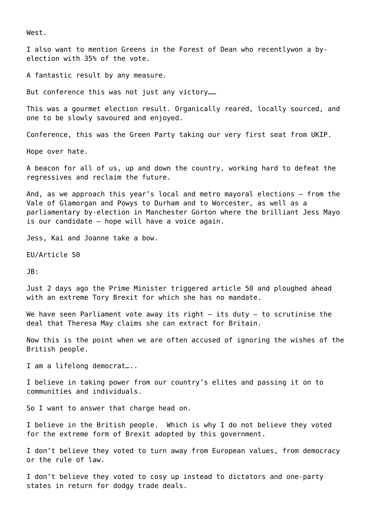West.

I also want to mention Greens in the Forest of Dean who recentlywon a byelection with 35% of the vote.

A fantastic result by any measure.

But conference this was not just any victory……

This was a gourmet election result. Organically reared, locally sourced, and one to be slowly savoured and enjoyed.

Conference, this was the Green Party taking our very first seat from UKIP.

Hope over hate.

A beacon for all of us, up and down the country, working hard to defeat the regressives and reclaim the future.

And, as we approach this year's local and metro mayoral elections – from the Vale of Glamorgan and Powys to Durham and to Worcester, as well as a parliamentary by-election in Manchester Gorton where the brilliant Jess Mayo is our candidate – hope will have a voice again.

Jess, Kai and Joanne take a bow.

EU/Article 50

JB:

Just 2 days ago the Prime Minister triggered article 50 and ploughed ahead with an extreme Tory Brexit for which she has no mandate.

We have seen Parliament vote away its right  $-$  its duty  $-$  to scrutinise the deal that Theresa May claims she can extract for Britain.

Now this is the point when we are often accused of ignoring the wishes of the British people.

I am a lifelong democrat…..

I believe in taking power from our country's elites and passing it on to communities and individuals.

So I want to answer that charge head on.

I believe in the British people. Which is why I do not believe they voted for the extreme form of Brexit adopted by this government.

I don't believe they voted to turn away from European values, from democracy or the rule of law.

I don't believe they voted to cosy up instead to dictators and one-party states in return for dodgy trade deals.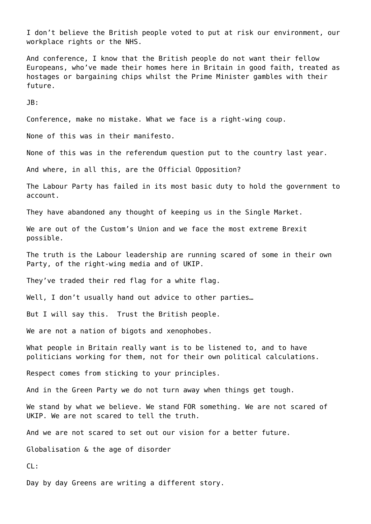I don't believe the British people voted to put at risk our environment, our workplace rights or the NHS.

And conference, I know that the British people do not want their fellow Europeans, who've made their homes here in Britain in good faith, treated as hostages or bargaining chips whilst the Prime Minister gambles with their future.

JB:

Conference, make no mistake. What we face is a right-wing coup.

None of this was in their manifesto.

None of this was in the referendum question put to the country last year.

And where, in all this, are the Official Opposition?

The Labour Party has failed in its most basic duty to hold the government to account.

They have abandoned any thought of keeping us in the Single Market.

We are out of the Custom's Union and we face the most extreme Brexit possible.

The truth is the Labour leadership are running scared of some in their own Party, of the right-wing media and of UKIP.

They've traded their red flag for a white flag.

Well, I don't usually hand out advice to other parties...

But I will say this. Trust the British people.

We are not a nation of bigots and xenophobes.

What people in Britain really want is to be listened to, and to have politicians working for them, not for their own political calculations.

Respect comes from sticking to your principles.

And in the Green Party we do not turn away when things get tough.

We stand by what we believe. We stand FOR something. We are not scared of UKIP. We are not scared to tell the truth.

And we are not scared to set out our vision for a better future.

Globalisation & the age of disorder

CL:

Day by day Greens are writing a different story.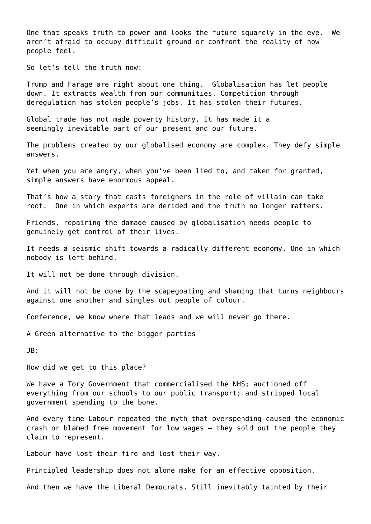One that speaks truth to power and looks the future squarely in the eye. We aren't afraid to occupy difficult ground or confront the reality of how people feel.

So let's tell the truth now:

Trump and Farage are right about one thing. Globalisation has let people down. It extracts wealth from our communities. Competition through deregulation has stolen people's jobs. It has stolen their futures.

Global trade has not made poverty history. It has made it a seemingly inevitable part of our present and our future.

The problems created by our globalised economy are complex. They defy simple answers.

Yet when you are angry, when you've been lied to, and taken for granted, simple answers have enormous appeal.

That's how a story that casts foreigners in the role of villain can take root. One in which experts are derided and the truth no longer matters.

Friends, repairing the damage caused by globalisation needs people to genuinely get control of their lives.

It needs a seismic shift towards a radically different economy. One in which nobody is left behind.

It will not be done through division.

And it will not be done by the scapegoating and shaming that turns neighbours against one another and singles out people of colour.

Conference, we know where that leads and we will never go there.

A Green alternative to the bigger parties

JB:

How did we get to this place?

We have a Tory Government that commercialised the NHS; auctioned off everything from our schools to our public transport; and stripped local government spending to the bone.

And every time Labour repeated the myth that overspending caused the economic crash or blamed free movement for low wages – they sold out the people they claim to represent.

Labour have lost their fire and lost their way.

Principled leadership does not alone make for an effective opposition.

And then we have the Liberal Democrats. Still inevitably tainted by their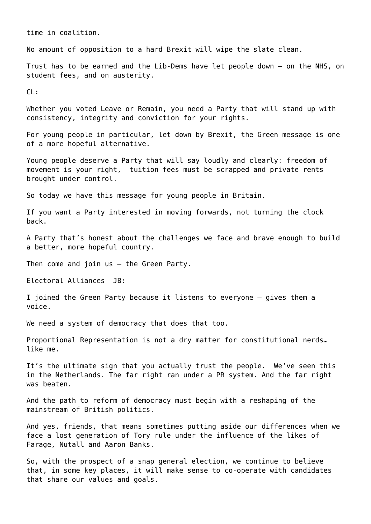time in coalition.

No amount of opposition to a hard Brexit will wipe the slate clean.

Trust has to be earned and the Lib-Dems have let people down – on the NHS, on student fees, and on austerity.

CL:

Whether you voted Leave or Remain, you need a Party that will stand up with consistency, integrity and conviction for your rights.

For young people in particular, let down by Brexit, the Green message is one of a more hopeful alternative.

Young people deserve a Party that will say loudly and clearly: freedom of movement is your right, tuition fees must be scrapped and private rents brought under control.

So today we have this message for young people in Britain.

If you want a Party interested in moving forwards, not turning the clock back.

A Party that's honest about the challenges we face and brave enough to build a better, more hopeful country.

Then come and join us – the Green Party.

Electoral Alliances JB:

I joined the Green Party because it listens to everyone – gives them a voice.

We need a system of democracy that does that too.

Proportional Representation is not a dry matter for constitutional nerds… like me.

It's the ultimate sign that you actually trust the people. We've seen this in the Netherlands. The far right ran under a PR system. And the far right was beaten.

And the path to reform of democracy must begin with a reshaping of the mainstream of British politics.

And yes, friends, that means sometimes putting aside our differences when we face a lost generation of Tory rule under the influence of the likes of Farage, Nutall and Aaron Banks.

So, with the prospect of a snap general election, we continue to believe that, in some key places, it will make sense to co-operate with candidates that share our values and goals.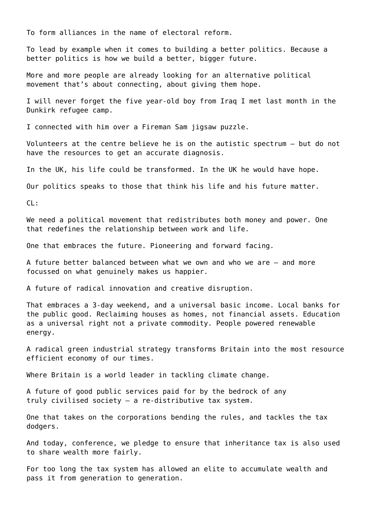To form alliances in the name of electoral reform.

To lead by example when it comes to building a better politics. Because a better politics is how we build a better, bigger future.

More and more people are already looking for an alternative political movement that's about connecting, about giving them hope.

I will never forget the five year-old boy from Iraq I met last month in the Dunkirk refugee camp.

I connected with him over a Fireman Sam jigsaw puzzle.

Volunteers at the centre believe he is on the autistic spectrum – but do not have the resources to get an accurate diagnosis.

In the UK, his life could be transformed. In the UK he would have hope.

Our politics speaks to those that think his life and his future matter.

 $CL:$ 

We need a political movement that redistributes both money and power. One that redefines the relationship between work and life.

One that embraces the future. Pioneering and forward facing.

A future better balanced between what we own and who we are – and more focussed on what genuinely makes us happier.

A future of radical innovation and creative disruption.

That embraces a 3-day weekend, and a universal basic income. Local banks for the public good. Reclaiming houses as homes, not financial assets. Education as a universal right not a private commodity. People powered renewable energy.

A radical green industrial strategy transforms Britain into the most resource efficient economy of our times.

Where Britain is a world leader in tackling climate change.

A future of good public services paid for by the bedrock of any truly civilised society – a re-distributive tax system.

One that takes on the corporations bending the rules, and tackles the tax dodgers.

And today, conference, we pledge to ensure that inheritance tax is also used to share wealth more fairly.

For too long the tax system has allowed an elite to accumulate wealth and pass it from generation to generation.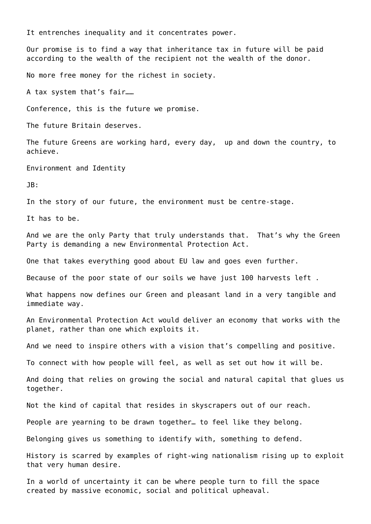It entrenches inequality and it concentrates power.

Our promise is to find a way that inheritance tax in future will be paid according to the wealth of the recipient not the wealth of the donor.

No more free money for the richest in society.

A tax system that's fair……

Conference, this is the future we promise.

The future Britain deserves.

The future Greens are working hard, every day, up and down the country, to achieve.

Environment and Identity

JB:

In the story of our future, the environment must be centre-stage.

It has to be.

And we are the only Party that truly understands that. That's why the Green Party is demanding a new Environmental Protection Act.

One that takes everything good about EU law and goes even further.

Because of the poor state of our soils we have just 100 harvests left .

What happens now defines our Green and pleasant land in a very tangible and immediate way.

An Environmental Protection Act would deliver an economy that works with the planet, rather than one which exploits it.

And we need to inspire others with a vision that's compelling and positive.

To connect with how people will feel, as well as set out how it will be.

And doing that relies on growing the social and natural capital that glues us together.

Not the kind of capital that resides in skyscrapers out of our reach.

People are yearning to be drawn together… to feel like they belong.

Belonging gives us something to identify with, something to defend.

History is scarred by examples of right-wing nationalism rising up to exploit that very human desire.

In a world of uncertainty it can be where people turn to fill the space created by massive economic, social and political upheaval.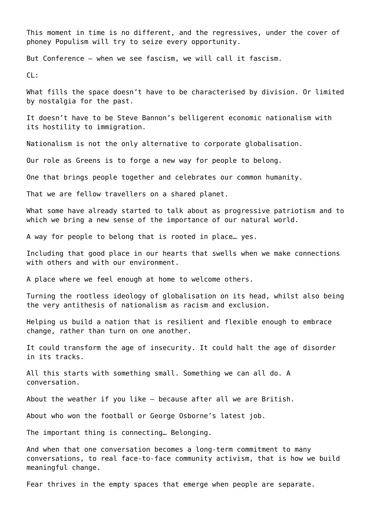This moment in time is no different, and the regressives, under the cover of phoney Populism will try to seize every opportunity.

But Conference – when we see fascism, we will call it fascism.

CL:

What fills the space doesn't have to be characterised by division. Or limited by nostalgia for the past.

It doesn't have to be Steve Bannon's belligerent economic nationalism with its hostility to immigration.

Nationalism is not the only alternative to corporate globalisation.

Our role as Greens is to forge a new way for people to belong.

One that brings people together and celebrates our common humanity.

That we are fellow travellers on a shared planet.

What some have already started to talk about as progressive patriotism and to which we bring a new sense of the importance of our natural world.

A way for people to belong that is rooted in place… yes.

Including that good place in our hearts that swells when we make connections with others and with our environment.

A place where we feel enough at home to welcome others.

Turning the rootless ideology of globalisation on its head, whilst also being the very antithesis of nationalism as racism and exclusion.

Helping us build a nation that is resilient and flexible enough to embrace change, rather than turn on one another.

It could transform the age of insecurity. It could halt the age of disorder in its tracks.

All this starts with something small. Something we can all do. A conversation.

About the weather if you like – because after all we are British.

About who won the football or George Osborne's latest job.

The important thing is connecting… Belonging.

And when that one conversation becomes a long-term commitment to many conversations, to real face-to-face community activism, that is how we build meaningful change.

Fear thrives in the empty spaces that emerge when people are separate.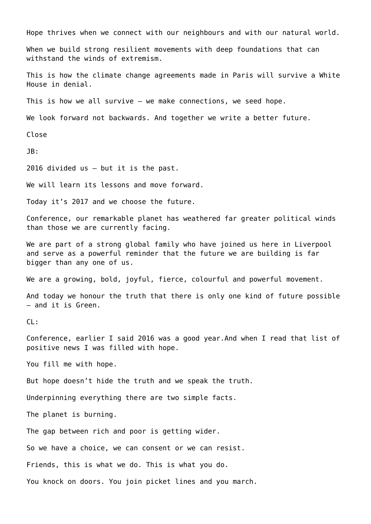Hope thrives when we connect with our neighbours and with our natural world.

When we build strong resilient movements with deep foundations that can withstand the winds of extremism.

This is how the climate change agreements made in Paris will survive a White House in denial.

This is how we all survive – we make connections, we seed hope.

We look forward not backwards. And together we write a better future.

Close

JB:

2016 divided us – but it is the past.

We will learn its lessons and move forward.

Today it's 2017 and we choose the future.

Conference, our remarkable planet has weathered far greater political winds than those we are currently facing.

We are part of a strong global family who have joined us here in Liverpool and serve as a powerful reminder that the future we are building is far bigger than any one of us.

We are a growing, bold, joyful, fierce, colourful and powerful movement.

And today we honour the truth that there is only one kind of future possible – and it is Green.

CL:

Conference, earlier I said 2016 was a good year.And when I read that list of positive news I was filled with hope.

You fill me with hope.

But hope doesn't hide the truth and we speak the truth.

Underpinning everything there are two simple facts.

The planet is burning.

The gap between rich and poor is getting wider.

So we have a choice, we can consent or we can resist.

Friends, this is what we do. This is what you do.

You knock on doors. You join picket lines and you march.